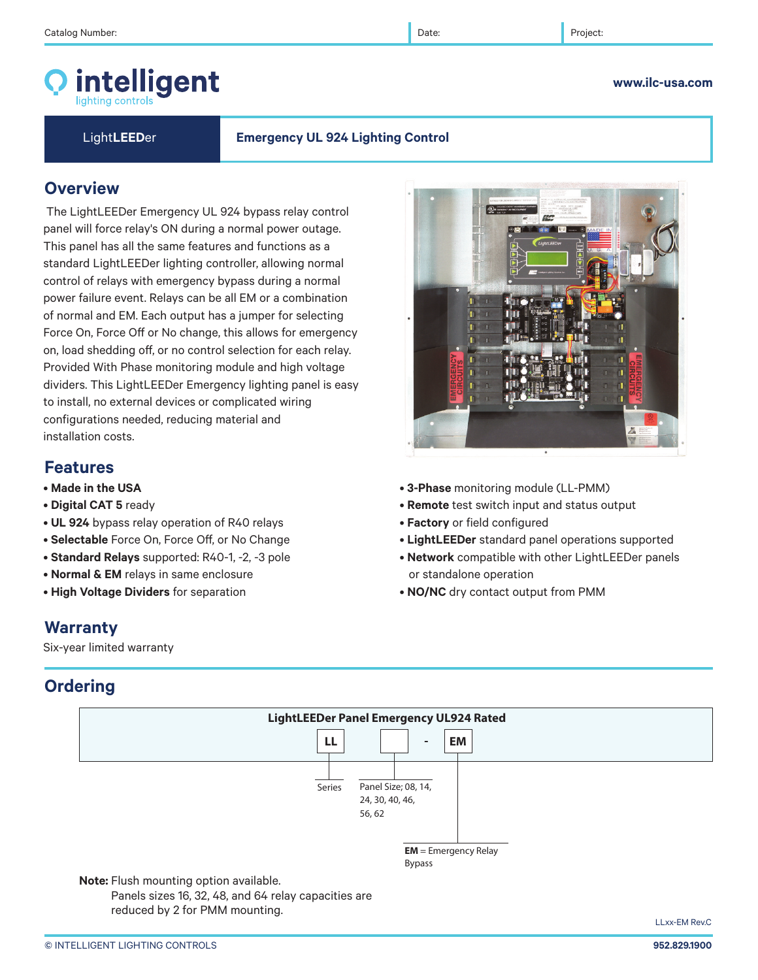# intelligent

## Light**LEED**er **Emergency UL 924 Lighting Control**

## **Overview**

 The LightLEEDer Emergency UL 924 bypass relay control panel will force relay's ON during a normal power outage. This panel has all the same features and functions as a standard LightLEEDer lighting controller, allowing normal control of relays with emergency bypass during a normal power failure event. Relays can be all EM or a combination of normal and EM. Each output has a jumper for selecting Force On, Force Off or No change, this allows for emergency on, load shedding off, or no control selection for each relay. Provided With Phase monitoring module and high voltage dividers. This LightLEEDer Emergency lighting panel is easy to install, no external devices or complicated wiring configurations needed, reducing material and installation costs.

## **Features**

- **Made in the USA**
- **Digital CAT 5** ready
- **UL 924** bypass relay operation of R40 relays
- **Selectable** Force On, Force Off, or No Change
- **Standard Relays** supported: R40-1, -2, -3 pole
- **Normal & EM** relays in same enclosure
- **High Voltage Dividers** for separation

## • **3-Phase** monitoring module (LL-PMM)

- **Remote** test switch input and status output
- **Factory** or field configured
- • **LightLEEDer** standard panel operations supported
- **Network** compatible with other LightLEEDer panels or standalone operation
- **NO/NC** dry contact output from PMM

# **Warranty**

Six-year limited warranty

# **Ordering**



**www.ilc-usa.com** 



LLxx-EM Rev.C